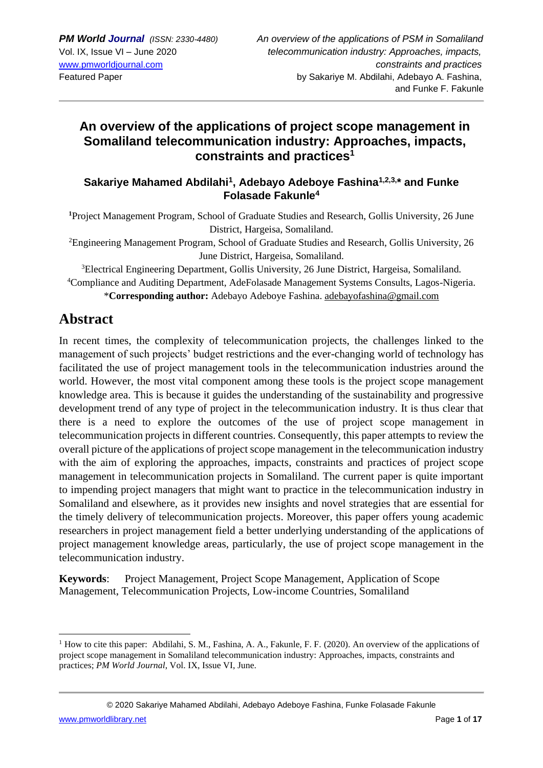# **An overview of the applications of project scope management in Somaliland telecommunication industry: Approaches, impacts, constraints and practices<sup>1</sup>**

#### **Sakariye Mahamed Abdilahi<sup>1</sup> , Adebayo Adeboye Fashina1,2,3, \* and Funke Folasade Fakunle<sup>4</sup>**

**<sup>1</sup>**Project Management Program, School of Graduate Studies and Research, Gollis University, 26 June District, Hargeisa, Somaliland.

<sup>2</sup>Engineering Management Program, School of Graduate Studies and Research, Gollis University, 26 June District, Hargeisa, Somaliland.

<sup>3</sup>Electrical Engineering Department, Gollis University, 26 June District, Hargeisa, Somaliland. <sup>4</sup>Compliance and Auditing Department, AdeFolasade Management Systems Consults, Lagos-Nigeria.

\***Corresponding author:** Adebayo Adeboye Fashina. [adebayofashina@gmail.com](mailto:adebayofashina@gmail.com)

# **Abstract**

In recent times, the complexity of telecommunication projects, the challenges linked to the management of such projects' budget restrictions and the ever-changing world of technology has facilitated the use of project management tools in the telecommunication industries around the world. However, the most vital component among these tools is the project scope management knowledge area. This is because it guides the understanding of the sustainability and progressive development trend of any type of project in the telecommunication industry. It is thus clear that there is a need to explore the outcomes of the use of project scope management in telecommunication projects in different countries. Consequently, this paper attempts to review the overall picture of the applications of project scope management in the telecommunication industry with the aim of exploring the approaches, impacts, constraints and practices of project scope management in telecommunication projects in Somaliland. The current paper is quite important to impending project managers that might want to practice in the telecommunication industry in Somaliland and elsewhere, as it provides new insights and novel strategies that are essential for the timely delivery of telecommunication projects. Moreover, this paper offers young academic researchers in project management field a better underlying understanding of the applications of project management knowledge areas, particularly, the use of project scope management in the telecommunication industry.

**Keywords**: Project Management, Project Scope Management, Application of Scope Management, Telecommunication Projects, Low-income Countries, Somaliland

© 2020 Sakariye Mahamed Abdilahi, Adebayo Adeboye Fashina, Funke Folasade Fakunle

<sup>&</sup>lt;sup>1</sup> How to cite this paper: Abdilahi, S. M., Fashina, A. A., Fakunle, F. F. (2020). An overview of the applications of project scope management in Somaliland telecommunication industry: Approaches, impacts, constraints and practices; *PM World Journal*, Vol. IX, Issue VI, June.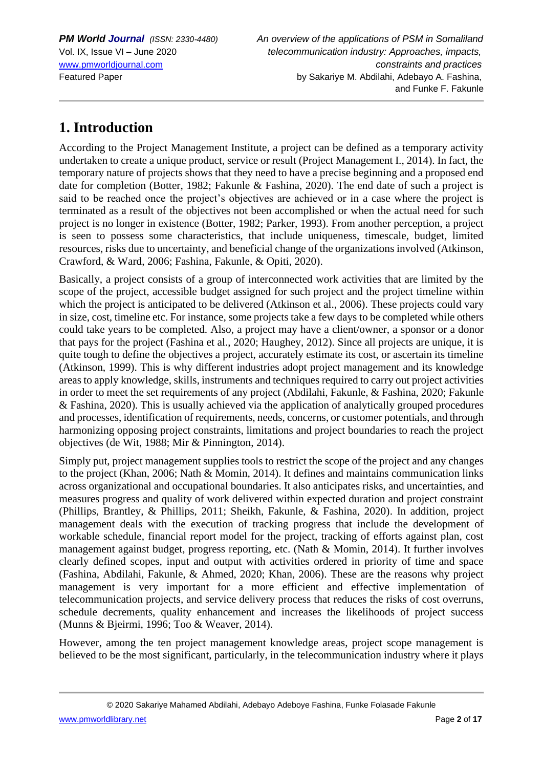# **1. Introduction**

According to the Project Management Institute, a project can be defined as a temporary activity undertaken to create a unique product, service or result (Project Management I., 2014). In fact, the temporary nature of projects shows that they need to have a precise beginning and a proposed end date for completion (Botter, 1982; Fakunle & Fashina, 2020). The end date of such a project is said to be reached once the project's objectives are achieved or in a case where the project is terminated as a result of the objectives not been accomplished or when the actual need for such project is no longer in existence (Botter, 1982; Parker, 1993). From another perception, a project is seen to possess some characteristics, that include uniqueness, timescale, budget, limited resources, risks due to uncertainty, and beneficial change of the organizations involved (Atkinson, Crawford, & Ward, 2006; Fashina, Fakunle, & Opiti, 2020).

Basically, a project consists of a group of interconnected work activities that are limited by the scope of the project, accessible budget assigned for such project and the project timeline within which the project is anticipated to be delivered (Atkinson et al., 2006). These projects could vary in size, cost, timeline etc. For instance, some projects take a few days to be completed while others could take years to be completed. Also, a project may have a client/owner, a sponsor or a donor that pays for the project (Fashina et al., 2020; Haughey, 2012). Since all projects are unique, it is quite tough to define the objectives a project, accurately estimate its cost, or ascertain its timeline (Atkinson, 1999). This is why different industries adopt project management and its knowledge areas to apply knowledge, skills, instruments and techniques required to carry out project activities in order to meet the set requirements of any project (Abdilahi, Fakunle, & Fashina, 2020; Fakunle & Fashina, 2020). This is usually achieved via the application of analytically grouped procedures and processes, identification of requirements, needs, concerns, or customer potentials, and through harmonizing opposing project constraints, limitations and project boundaries to reach the project objectives (de Wit, 1988; Mir & Pinnington, 2014).

Simply put, project management supplies tools to restrict the scope of the project and any changes to the project (Khan, 2006; Nath & Momin, 2014). It defines and maintains communication links across organizational and occupational boundaries. It also anticipates risks, and uncertainties, and measures progress and quality of work delivered within expected duration and project constraint (Phillips, Brantley, & Phillips, 2011; Sheikh, Fakunle, & Fashina, 2020). In addition, project management deals with the execution of tracking progress that include the development of workable schedule, financial report model for the project, tracking of efforts against plan, cost management against budget, progress reporting, etc. (Nath & Momin, 2014). It further involves clearly defined scopes, input and output with activities ordered in priority of time and space (Fashina, Abdilahi, Fakunle, & Ahmed, 2020; Khan, 2006). These are the reasons why project management is very important for a more efficient and effective implementation of telecommunication projects, and service delivery process that reduces the risks of cost overruns, schedule decrements, quality enhancement and increases the likelihoods of project success (Munns & Bjeirmi, 1996; Too & Weaver, 2014).

However, among the ten project management knowledge areas, project scope management is believed to be the most significant, particularly, in the telecommunication industry where it plays

© 2020 Sakariye Mahamed Abdilahi, Adebayo Adeboye Fashina, Funke Folasade Fakunle

[www.pmworldlibrary.net](http://www.pmworldlibrary.net/) **Page 2** of 17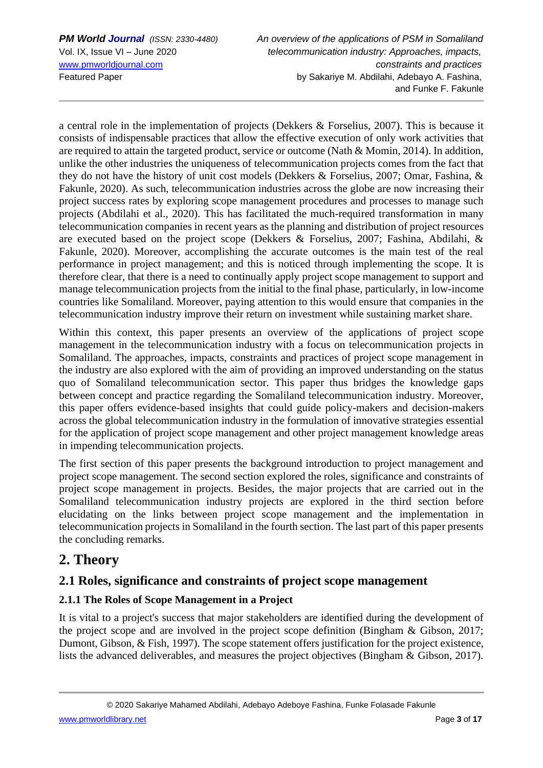a central role in the implementation of projects (Dekkers & Forselius, 2007). This is because it consists of indispensable practices that allow the effective execution of only work activities that are required to attain the targeted product, service or outcome (Nath & Momin, 2014). In addition, unlike the other industries the uniqueness of telecommunication projects comes from the fact that they do not have the history of unit cost models (Dekkers & Forselius, 2007; Omar, Fashina, & Fakunle, 2020). As such, telecommunication industries across the globe are now increasing their project success rates by exploring scope management procedures and processes to manage such projects (Abdilahi et al., 2020). This has facilitated the much-required transformation in many telecommunication companies in recent years as the planning and distribution of project resources are executed based on the project scope (Dekkers & Forselius, 2007; Fashina, Abdilahi, & Fakunle, 2020). Moreover, accomplishing the accurate outcomes is the main test of the real performance in project management; and this is noticed through implementing the scope. It is therefore clear, that there is a need to continually apply project scope management to support and manage telecommunication projects from the initial to the final phase, particularly, in low-income countries like Somaliland. Moreover, paying attention to this would ensure that companies in the telecommunication industry improve their return on investment while sustaining market share.

Within this context, this paper presents an overview of the applications of project scope management in the telecommunication industry with a focus on telecommunication projects in Somaliland. The approaches, impacts, constraints and practices of project scope management in the industry are also explored with the aim of providing an improved understanding on the status quo of Somaliland telecommunication sector. This paper thus bridges the knowledge gaps between concept and practice regarding the Somaliland telecommunication industry. Moreover, this paper offers evidence-based insights that could guide policy-makers and decision-makers across the global telecommunication industry in the formulation of innovative strategies essential for the application of project scope management and other project management knowledge areas in impending telecommunication projects.

The first section of this paper presents the background introduction to project management and project scope management. The second section explored the roles, significance and constraints of project scope management in projects. Besides, the major projects that are carried out in the Somaliland telecommunication industry projects are explored in the third section before elucidating on the links between project scope management and the implementation in telecommunication projects in Somaliland in the fourth section. The last part of this paper presents the concluding remarks.

# **2. Theory**

# **2.1 Roles, significance and constraints of project scope management**

#### **2.1.1 The Roles of Scope Management in a Project**

It is vital to a project's success that major stakeholders are identified during the development of the project scope and are involved in the project scope definition (Bingham & Gibson, 2017; Dumont, Gibson, & Fish, 1997). The scope statement offers justification for the project existence, lists the advanced deliverables, and measures the project objectives (Bingham & Gibson, 2017).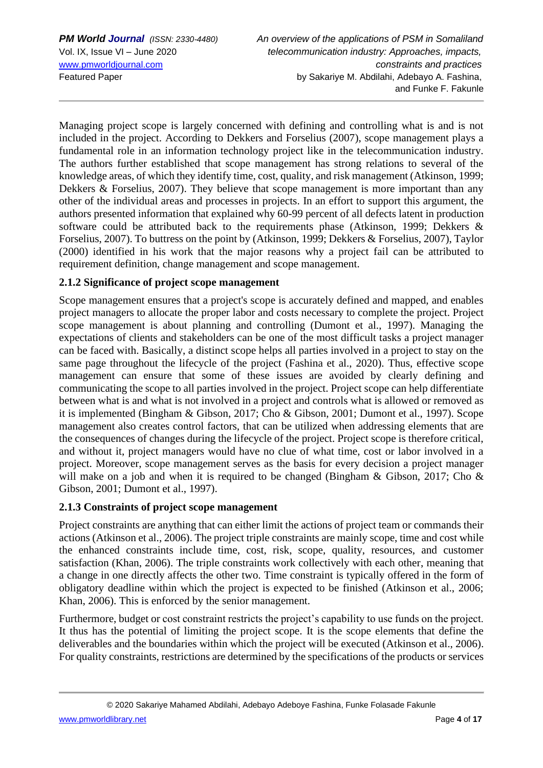Managing project scope is largely concerned with defining and controlling what is and is not included in the project. According to Dekkers and Forselius (2007), scope management plays a fundamental role in an information technology project like in the telecommunication industry. The authors further established that scope management has strong relations to several of the knowledge areas, of which they identify time, cost, quality, and risk management (Atkinson, 1999; Dekkers & Forselius, 2007). They believe that scope management is more important than any other of the individual areas and processes in projects. In an effort to support this argument, the authors presented information that explained why 60-99 percent of all defects latent in production software could be attributed back to the requirements phase (Atkinson, 1999; Dekkers & Forselius, 2007). To buttress on the point by (Atkinson, 1999; Dekkers & Forselius, 2007), Taylor (2000) identified in his work that the major reasons why a project fail can be attributed to requirement definition, change management and scope management.

#### **2.1.2 Significance of project scope management**

Scope management ensures that a project's scope is accurately defined and mapped, and enables project managers to allocate the proper labor and costs necessary to complete the project. Project scope management is about planning and controlling (Dumont et al., 1997). Managing the expectations of clients and stakeholders can be one of the most difficult tasks a project manager can be faced with. Basically, a distinct scope helps all parties involved in a project to stay on the same page throughout the lifecycle of the project (Fashina et al., 2020). Thus, effective scope management can ensure that some of these issues are avoided by clearly defining and communicating the scope to all parties involved in the project. Project scope can help differentiate between what is and what is not involved in a project and controls what is allowed or removed as it is implemented (Bingham & Gibson, 2017; Cho & Gibson, 2001; Dumont et al., 1997). Scope management also creates control factors, that can be utilized when addressing elements that are the consequences of changes during the lifecycle of the project. Project scope is therefore critical, and without it, project managers would have no clue of what time, cost or labor involved in a project. Moreover, scope management serves as the basis for every decision a project manager will make on a job and when it is required to be changed (Bingham & Gibson, 2017; Cho & Gibson, 2001; Dumont et al., 1997).

#### **2.1.3 Constraints of project scope management**

Project constraints are anything that can either limit the actions of project team or commands their actions (Atkinson et al., 2006). The project triple constraints are mainly scope, time and cost while the enhanced constraints include time, cost, risk, scope, quality, resources, and customer satisfaction (Khan, 2006). The triple constraints work collectively with each other, meaning that a change in one directly affects the other two. Time constraint is typically offered in the form of obligatory deadline within which the project is expected to be finished (Atkinson et al., 2006; Khan, 2006). This is enforced by the senior management.

Furthermore, budget or cost constraint restricts the project's capability to use funds on the project. It thus has the potential of limiting the project scope. It is the scope elements that define the deliverables and the boundaries within which the project will be executed (Atkinson et al., 2006). For quality constraints, restrictions are determined by the specifications of the products or services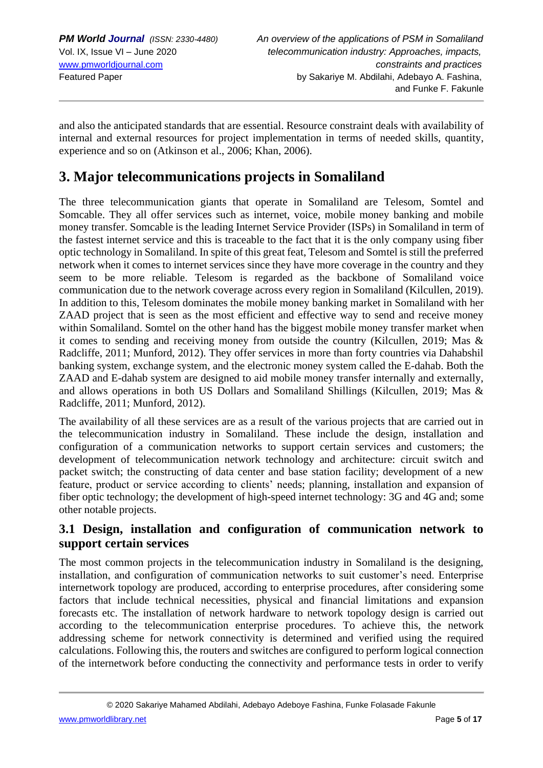and also the anticipated standards that are essential. Resource constraint deals with availability of internal and external resources for project implementation in terms of needed skills, quantity, experience and so on (Atkinson et al., 2006; Khan, 2006).

# **3. Major telecommunications projects in Somaliland**

The three telecommunication giants that operate in Somaliland are Telesom, Somtel and Somcable. They all offer services such as internet, voice, mobile money banking and mobile money transfer. Somcable is the leading Internet Service Provider (ISPs) in Somaliland in term of the fastest internet service and this is traceable to the fact that it is the only company using fiber optic technology in Somaliland. In spite of this great feat, Telesom and Somtel is still the preferred network when it comes to internet services since they have more coverage in the country and they seem to be more reliable. Telesom is regarded as the backbone of Somaliland voice communication due to the network coverage across every region in Somaliland (Kilcullen, 2019). In addition to this, Telesom dominates the mobile money banking market in Somaliland with her ZAAD project that is seen as the most efficient and effective way to send and receive money within Somaliland. Somtel on the other hand has the biggest mobile money transfer market when it comes to sending and receiving money from outside the country (Kilcullen, 2019; Mas & Radcliffe, 2011; Munford, 2012). They offer services in more than forty countries via Dahabshil banking system, exchange system, and the electronic money system called the E-dahab. Both the ZAAD and E-dahab system are designed to aid mobile money transfer internally and externally, and allows operations in both US Dollars and Somaliland Shillings (Kilcullen, 2019; Mas & Radcliffe, 2011; Munford, 2012).

The availability of all these services are as a result of the various projects that are carried out in the telecommunication industry in Somaliland. These include the design, installation and configuration of a communication networks to support certain services and customers; the development of telecommunication network technology and architecture: circuit switch and packet switch; the constructing of data center and base station facility; development of a new feature, product or service according to clients' needs; planning, installation and expansion of fiber optic technology; the development of high-speed internet technology: 3G and 4G and; some other notable projects.

## **3.1 Design, installation and configuration of communication network to support certain services**

The most common projects in the telecommunication industry in Somaliland is the designing, installation, and configuration of communication networks to suit customer's need. Enterprise internetwork topology are produced, according to enterprise procedures, after considering some factors that include technical necessities, physical and financial limitations and expansion forecasts etc. The installation of network hardware to network topology design is carried out according to the telecommunication enterprise procedures. To achieve this, the network addressing scheme for network connectivity is determined and verified using the required calculations. Following this, the routers and switches are configured to perform logical connection of the internetwork before conducting the connectivity and performance tests in order to verify

[www.pmworldlibrary.net](http://www.pmworldlibrary.net/) Page **5** of **17**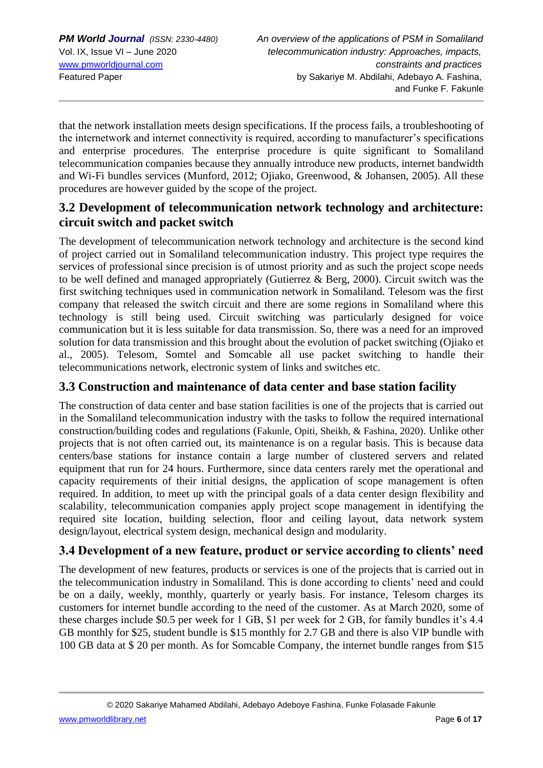that the network installation meets design specifications. If the process fails, a troubleshooting of the internetwork and internet connectivity is required, according to manufacturer's specifications and enterprise procedures. The enterprise procedure is quite significant to Somaliland telecommunication companies because they annually introduce new products, internet bandwidth and Wi-Fi bundles services (Munford, 2012; Ojiako, Greenwood, & Johansen, 2005). All these procedures are however guided by the scope of the project.

### **3.2 Development of telecommunication network technology and architecture: circuit switch and packet switch**

The development of telecommunication network technology and architecture is the second kind of project carried out in Somaliland telecommunication industry. This project type requires the services of professional since precision is of utmost priority and as such the project scope needs to be well defined and managed appropriately (Gutierrez & Berg, 2000). Circuit switch was the first switching techniques used in communication network in Somaliland. Telesom was the first company that released the switch circuit and there are some regions in Somaliland where this technology is still being used. Circuit switching was particularly designed for voice communication but it is less suitable for data transmission. So, there was a need for an improved solution for data transmission and this brought about the evolution of packet switching (Ojiako et al., 2005). Telesom, Somtel and Somcable all use packet switching to handle their telecommunications network, electronic system of links and switches etc.

### **3.3 Construction and maintenance of data center and base station facility**

The construction of data center and base station facilities is one of the projects that is carried out in the Somaliland telecommunication industry with the tasks to follow the required international construction/building codes and regulations (Fakunle, Opiti, Sheikh, & Fashina, 2020). Unlike other projects that is not often carried out, its maintenance is on a regular basis. This is because data centers/base stations for instance contain a large number of clustered servers and related equipment that run for 24 hours. Furthermore, since data centers rarely met the operational and capacity requirements of their initial designs, the application of scope management is often required. In addition, to meet up with the principal goals of a data center design flexibility and scalability, telecommunication companies apply project scope management in identifying the required site location, building selection, floor and ceiling layout, data network system design/layout, electrical system design, mechanical design and modularity.

# **3.4 Development of a new feature, product or service according to clients' need**

The development of new features, products or services is one of the projects that is carried out in the telecommunication industry in Somaliland. This is done according to clients' need and could be on a daily, weekly, monthly, quarterly or yearly basis. For instance, Telesom charges its customers for internet bundle according to the need of the customer. As at March 2020, some of these charges include \$0.5 per week for 1 GB, \$1 per week for 2 GB, for family bundles it's 4.4 GB monthly for \$25, student bundle is \$15 monthly for 2.7 GB and there is also VIP bundle with 100 GB data at \$ 20 per month. As for Somcable Company, the internet bundle ranges from \$15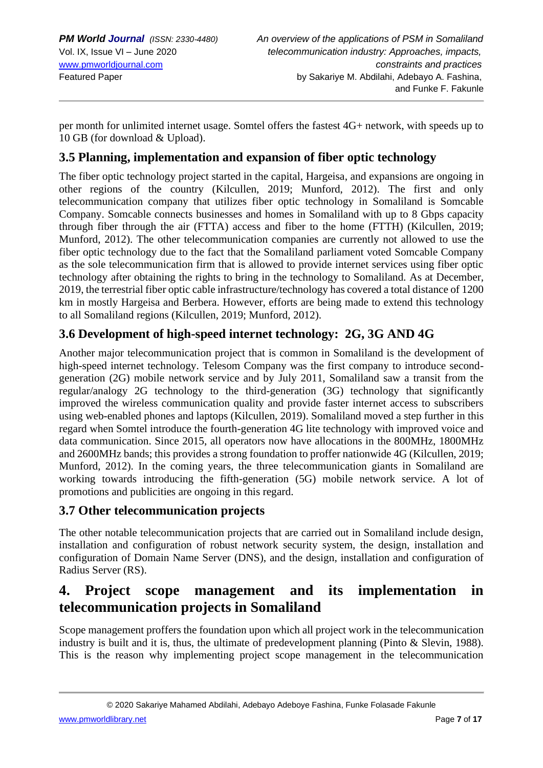per month for unlimited internet usage. Somtel offers the fastest 4G+ network, with speeds up to 10 GB (for download & Upload).

### **3.5 Planning, implementation and expansion of fiber optic technology**

The fiber optic technology project started in the capital, Hargeisa, and expansions are ongoing in other regions of the country (Kilcullen, 2019; Munford, 2012). The first and only telecommunication company that utilizes fiber optic technology in Somaliland is Somcable Company. Somcable connects businesses and homes in Somaliland with up to 8 Gbps capacity through fiber through the air (FTTA) access and fiber to the home (FTTH) (Kilcullen, 2019; Munford, 2012). The other telecommunication companies are currently not allowed to use the fiber optic technology due to the fact that the Somaliland parliament voted Somcable Company as the sole telecommunication firm that is allowed to provide internet services using fiber optic technology after obtaining the rights to bring in the technology to Somaliland. As at December, 2019, the terrestrial fiber optic cable infrastructure/technology has covered a total distance of 1200 km in mostly Hargeisa and Berbera. However, efforts are being made to extend this technology to all Somaliland regions (Kilcullen, 2019; Munford, 2012).

## **3.6 Development of high-speed internet technology: 2G, 3G AND 4G**

Another major telecommunication project that is common in Somaliland is the development of high-speed internet technology. Telesom Company was the first company to introduce secondgeneration (2G) mobile network service and by July 2011, Somaliland saw a transit from the regular/analogy 2G technology to the third-generation (3G) technology that significantly improved the wireless communication quality and provide faster internet access to subscribers using web-enabled phones and laptops (Kilcullen, 2019). Somaliland moved a step further in this regard when Somtel introduce the fourth-generation 4G lite technology with improved voice and data communication. Since 2015, all operators now have allocations in the 800MHz, 1800MHz and 2600MHz bands; this provides a strong foundation to proffer nationwide 4G (Kilcullen, 2019; Munford, 2012). In the coming years, the three telecommunication giants in Somaliland are working towards introducing the fifth-generation (5G) mobile network service. A lot of promotions and publicities are ongoing in this regard.

## **3.7 Other telecommunication projects**

The other notable telecommunication projects that are carried out in Somaliland include design, installation and configuration of robust network security system, the design, installation and configuration of Domain Name Server (DNS), and the design, installation and configuration of Radius Server (RS).

# **4. Project scope management and its implementation in telecommunication projects in Somaliland**

Scope management proffers the foundation upon which all project work in the telecommunication industry is built and it is, thus, the ultimate of predevelopment planning (Pinto & Slevin, 1988). This is the reason why implementing project scope management in the telecommunication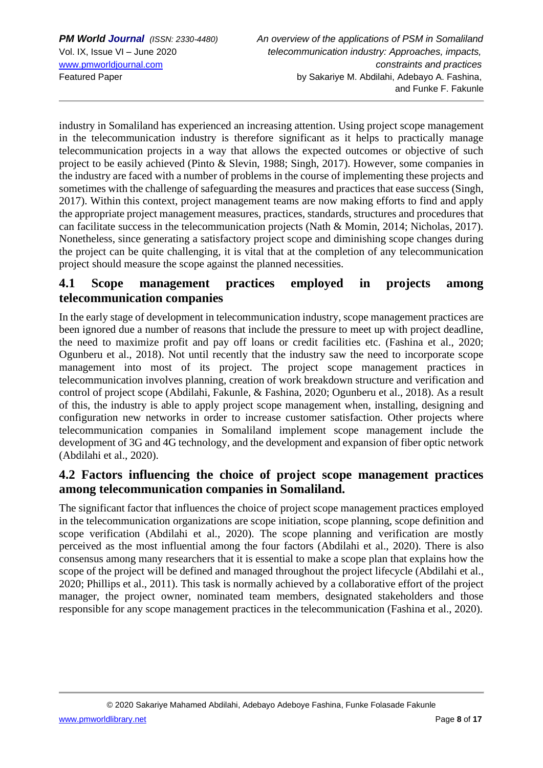industry in Somaliland has experienced an increasing attention. Using project scope management in the telecommunication industry is therefore significant as it helps to practically manage telecommunication projects in a way that allows the expected outcomes or objective of such project to be easily achieved (Pinto & Slevin, 1988; Singh, 2017). However, some companies in the industry are faced with a number of problems in the course of implementing these projects and sometimes with the challenge of safeguarding the measures and practices that ease success (Singh, 2017). Within this context, project management teams are now making efforts to find and apply the appropriate project management measures, practices, standards, structures and procedures that can facilitate success in the telecommunication projects (Nath & Momin, 2014; Nicholas, 2017). Nonetheless, since generating a satisfactory project scope and diminishing scope changes during the project can be quite challenging, it is vital that at the completion of any telecommunication project should measure the scope against the planned necessities.

### **4.1 Scope management practices employed in projects among telecommunication companies**

In the early stage of development in telecommunication industry, scope management practices are been ignored due a number of reasons that include the pressure to meet up with project deadline, the need to maximize profit and pay off loans or credit facilities etc. (Fashina et al., 2020; Ogunberu et al., 2018). Not until recently that the industry saw the need to incorporate scope management into most of its project. The project scope management practices in telecommunication involves planning, creation of work breakdown structure and verification and control of project scope (Abdilahi, Fakunle, & Fashina, 2020; Ogunberu et al., 2018). As a result of this, the industry is able to apply project scope management when, installing, designing and configuration new networks in order to increase customer satisfaction. Other projects where telecommunication companies in Somaliland implement scope management include the development of 3G and 4G technology, and the development and expansion of fiber optic network (Abdilahi et al., 2020).

## **4.2 Factors influencing the choice of project scope management practices among telecommunication companies in Somaliland.**

The significant factor that influences the choice of project scope management practices employed in the telecommunication organizations are scope initiation, scope planning, scope definition and scope verification (Abdilahi et al., 2020). The scope planning and verification are mostly perceived as the most influential among the four factors (Abdilahi et al., 2020). There is also consensus among many researchers that it is essential to make a scope plan that explains how the scope of the project will be defined and managed throughout the project lifecycle (Abdilahi et al., 2020; Phillips et al., 2011). This task is normally achieved by a collaborative effort of the project manager, the project owner, nominated team members, designated stakeholders and those responsible for any scope management practices in the telecommunication (Fashina et al., 2020).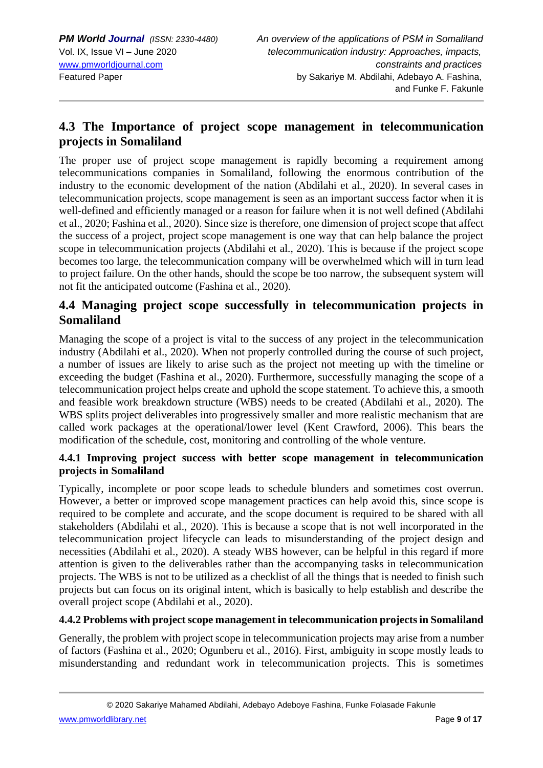## **4.3 The Importance of project scope management in telecommunication projects in Somaliland**

The proper use of project scope management is rapidly becoming a requirement among telecommunications companies in Somaliland, following the enormous contribution of the industry to the economic development of the nation (Abdilahi et al., 2020). In several cases in telecommunication projects, scope management is seen as an important success factor when it is well-defined and efficiently managed or a reason for failure when it is not well defined (Abdilahi et al., 2020; Fashina et al., 2020). Since size is therefore, one dimension of project scope that affect the success of a project, project scope management is one way that can help balance the project scope in telecommunication projects (Abdilahi et al., 2020). This is because if the project scope becomes too large, the telecommunication company will be overwhelmed which will in turn lead to project failure. On the other hands, should the scope be too narrow, the subsequent system will not fit the anticipated outcome (Fashina et al., 2020).

### **4.4 Managing project scope successfully in telecommunication projects in Somaliland**

Managing the scope of a project is vital to the success of any project in the telecommunication industry (Abdilahi et al., 2020). When not properly controlled during the course of such project, a number of issues are likely to arise such as the project not meeting up with the timeline or exceeding the budget (Fashina et al., 2020). Furthermore, successfully managing the scope of a telecommunication project helps create and uphold the scope statement. To achieve this, a smooth and feasible work breakdown structure (WBS) needs to be created (Abdilahi et al., 2020). The WBS splits project deliverables into progressively smaller and more realistic mechanism that are called work packages at the operational/lower level (Kent Crawford, 2006). This bears the modification of the schedule, cost, monitoring and controlling of the whole venture.

#### **4.4.1 Improving project success with better scope management in telecommunication projects in Somaliland**

Typically, incomplete or poor scope leads to schedule blunders and sometimes cost overrun. However, a better or improved scope management practices can help avoid this, since scope is required to be complete and accurate, and the scope document is required to be shared with all stakeholders (Abdilahi et al., 2020). This is because a scope that is not well incorporated in the telecommunication project lifecycle can leads to misunderstanding of the project design and necessities (Abdilahi et al., 2020). A steady WBS however, can be helpful in this regard if more attention is given to the deliverables rather than the accompanying tasks in telecommunication projects. The WBS is not to be utilized as a checklist of all the things that is needed to finish such projects but can focus on its original intent, which is basically to help establish and describe the overall project scope (Abdilahi et al., 2020).

#### **4.4.2 Problems with project scope management in telecommunication projects in Somaliland**

Generally, the problem with project scope in telecommunication projects may arise from a number of factors (Fashina et al., 2020; Ogunberu et al., 2016). First, ambiguity in scope mostly leads to misunderstanding and redundant work in telecommunication projects. This is sometimes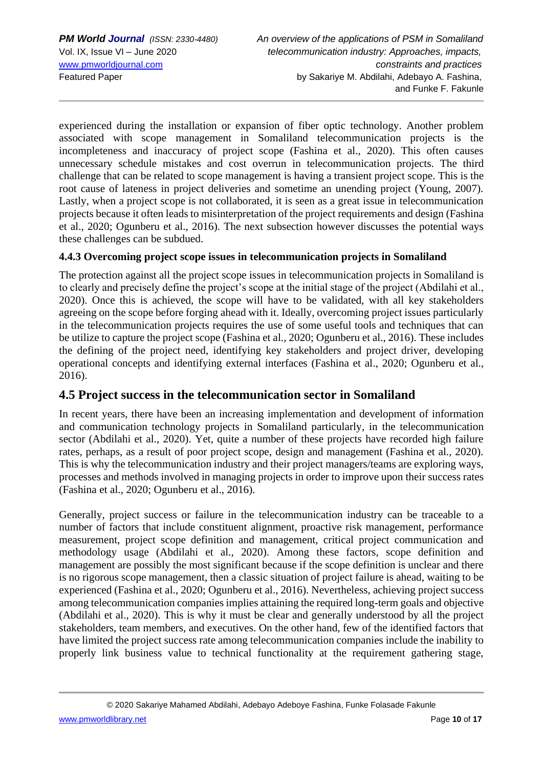experienced during the installation or expansion of fiber optic technology. Another problem associated with scope management in Somaliland telecommunication projects is the incompleteness and inaccuracy of project scope (Fashina et al., 2020). This often causes unnecessary schedule mistakes and cost overrun in telecommunication projects. The third challenge that can be related to scope management is having a transient project scope. This is the root cause of lateness in project deliveries and sometime an unending project (Young, 2007). Lastly, when a project scope is not collaborated, it is seen as a great issue in telecommunication projects because it often leads to misinterpretation of the project requirements and design (Fashina et al., 2020; Ogunberu et al., 2016). The next subsection however discusses the potential ways these challenges can be subdued.

#### **4.4.3 Overcoming project scope issues in telecommunication projects in Somaliland**

The protection against all the project scope issues in telecommunication projects in Somaliland is to clearly and precisely define the project's scope at the initial stage of the project (Abdilahi et al., 2020). Once this is achieved, the scope will have to be validated, with all key stakeholders agreeing on the scope before forging ahead with it. Ideally, overcoming project issues particularly in the telecommunication projects requires the use of some useful tools and techniques that can be utilize to capture the project scope (Fashina et al., 2020; Ogunberu et al., 2016). These includes the defining of the project need, identifying key stakeholders and project driver, developing operational concepts and identifying external interfaces (Fashina et al., 2020; Ogunberu et al., 2016).

#### **4.5 Project success in the telecommunication sector in Somaliland**

In recent years, there have been an increasing implementation and development of information and communication technology projects in Somaliland particularly, in the telecommunication sector (Abdilahi et al., 2020). Yet, quite a number of these projects have recorded high failure rates, perhaps, as a result of poor project scope, design and management (Fashina et al., 2020). This is why the telecommunication industry and their project managers/teams are exploring ways, processes and methods involved in managing projects in order to improve upon their success rates (Fashina et al., 2020; Ogunberu et al., 2016).

Generally, project success or failure in the telecommunication industry can be traceable to a number of factors that include constituent alignment, proactive risk management, performance measurement, project scope definition and management, critical project communication and methodology usage (Abdilahi et al., 2020). Among these factors, scope definition and management are possibly the most significant because if the scope definition is unclear and there is no rigorous scope management, then a classic situation of project failure is ahead, waiting to be experienced (Fashina et al., 2020; Ogunberu et al., 2016). Nevertheless, achieving project success among telecommunication companies implies attaining the required long-term goals and objective (Abdilahi et al., 2020). This is why it must be clear and generally understood by all the project stakeholders, team members, and executives. On the other hand, few of the identified factors that have limited the project success rate among telecommunication companies include the inability to properly link business value to technical functionality at the requirement gathering stage,

© 2020 Sakariye Mahamed Abdilahi, Adebayo Adeboye Fashina, Funke Folasade Fakunle

[www.pmworldlibrary.net](http://www.pmworldlibrary.net/) Page **10** of **17**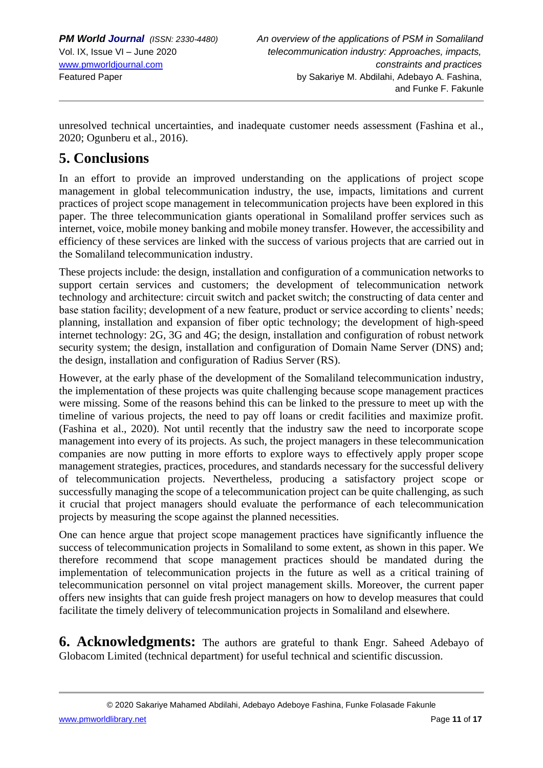unresolved technical uncertainties, and inadequate customer needs assessment (Fashina et al., 2020; Ogunberu et al., 2016).

# **5. Conclusions**

In an effort to provide an improved understanding on the applications of project scope management in global telecommunication industry, the use, impacts, limitations and current practices of project scope management in telecommunication projects have been explored in this paper. The three telecommunication giants operational in Somaliland proffer services such as internet, voice, mobile money banking and mobile money transfer. However, the accessibility and efficiency of these services are linked with the success of various projects that are carried out in the Somaliland telecommunication industry.

These projects include: the design, installation and configuration of a communication networks to support certain services and customers; the development of telecommunication network technology and architecture: circuit switch and packet switch; the constructing of data center and base station facility; development of a new feature, product or service according to clients' needs; planning, installation and expansion of fiber optic technology; the development of high-speed internet technology: 2G, 3G and 4G; the design, installation and configuration of robust network security system; the design, installation and configuration of Domain Name Server (DNS) and; the design, installation and configuration of Radius Server (RS).

However, at the early phase of the development of the Somaliland telecommunication industry, the implementation of these projects was quite challenging because scope management practices were missing. Some of the reasons behind this can be linked to the pressure to meet up with the timeline of various projects, the need to pay off loans or credit facilities and maximize profit. (Fashina et al., 2020). Not until recently that the industry saw the need to incorporate scope management into every of its projects. As such, the project managers in these telecommunication companies are now putting in more efforts to explore ways to effectively apply proper scope management strategies, practices, procedures, and standards necessary for the successful delivery of telecommunication projects. Nevertheless, producing a satisfactory project scope or successfully managing the scope of a telecommunication project can be quite challenging, as such it crucial that project managers should evaluate the performance of each telecommunication projects by measuring the scope against the planned necessities.

One can hence argue that project scope management practices have significantly influence the success of telecommunication projects in Somaliland to some extent, as shown in this paper. We therefore recommend that scope management practices should be mandated during the implementation of telecommunication projects in the future as well as a critical training of telecommunication personnel on vital project management skills. Moreover, the current paper offers new insights that can guide fresh project managers on how to develop measures that could facilitate the timely delivery of telecommunication projects in Somaliland and elsewhere.

**6. Acknowledgments:** The authors are grateful to thank Engr. Saheed Adebayo of Globacom Limited (technical department) for useful technical and scientific discussion.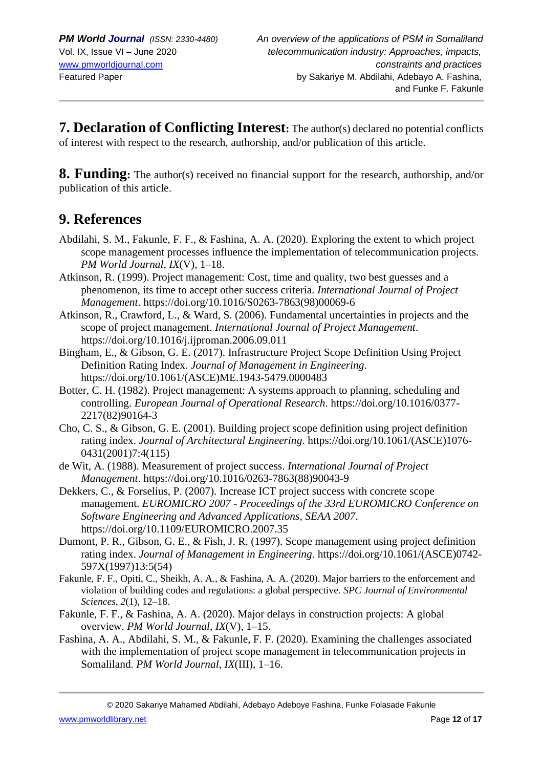**7. Declaration of Conflicting Interest:** The author(s) declared no potential conflicts of interest with respect to the research, authorship, and/or publication of this article.

**8. Funding:** The author(s) received no financial support for the research, authorship, and/or publication of this article.

# **9. References**

- Abdilahi, S. M., Fakunle, F. F., & Fashina, A. A. (2020). Exploring the extent to which project scope management processes influence the implementation of telecommunication projects. *PM World Journal*, *IX*(V), 1–18.
- Atkinson, R. (1999). Project management: Cost, time and quality, two best guesses and a phenomenon, its time to accept other success criteria. *International Journal of Project Management*. https://doi.org/10.1016/S0263-7863(98)00069-6
- Atkinson, R., Crawford, L., & Ward, S. (2006). Fundamental uncertainties in projects and the scope of project management. *International Journal of Project Management*. https://doi.org/10.1016/j.ijproman.2006.09.011
- Bingham, E., & Gibson, G. E. (2017). Infrastructure Project Scope Definition Using Project Definition Rating Index. *Journal of Management in Engineering*. https://doi.org/10.1061/(ASCE)ME.1943-5479.0000483
- Botter, C. H. (1982). Project management: A systems approach to planning, scheduling and controlling. *European Journal of Operational Research*. https://doi.org/10.1016/0377- 2217(82)90164-3
- Cho, C. S., & Gibson, G. E. (2001). Building project scope definition using project definition rating index. *Journal of Architectural Engineering*. https://doi.org/10.1061/(ASCE)1076- 0431(2001)7:4(115)
- de Wit, A. (1988). Measurement of project success. *International Journal of Project Management*. https://doi.org/10.1016/0263-7863(88)90043-9
- Dekkers, C., & Forselius, P. (2007). Increase ICT project success with concrete scope management. *EUROMICRO 2007 - Proceedings of the 33rd EUROMICRO Conference on Software Engineering and Advanced Applications, SEAA 2007*. https://doi.org/10.1109/EUROMICRO.2007.35
- Dumont, P. R., Gibson, G. E., & Fish, J. R. (1997). Scope management using project definition rating index. *Journal of Management in Engineering*. https://doi.org/10.1061/(ASCE)0742- 597X(1997)13:5(54)
- Fakunle, F. F., Opiti, C., Sheikh, A. A., & Fashina, A. A. (2020). Major barriers to the enforcement and violation of building codes and regulations: a global perspective. *SPC Journal of Environmental Sciences*, *2*(1), 12–18.
- Fakunle, F. F., & Fashina, A. A. (2020). Major delays in construction projects: A global overview. *PM World Journal*, *IX*(V), 1–15.
- Fashina, A. A., Abdilahi, S. M., & Fakunle, F. F. (2020). Examining the challenges associated with the implementation of project scope management in telecommunication projects in Somaliland. *PM World Journal*, *IX*(III), 1–16.

© 2020 Sakariye Mahamed Abdilahi, Adebayo Adeboye Fashina, Funke Folasade Fakunle

[www.pmworldlibrary.net](http://www.pmworldlibrary.net/) Page **12** of **17**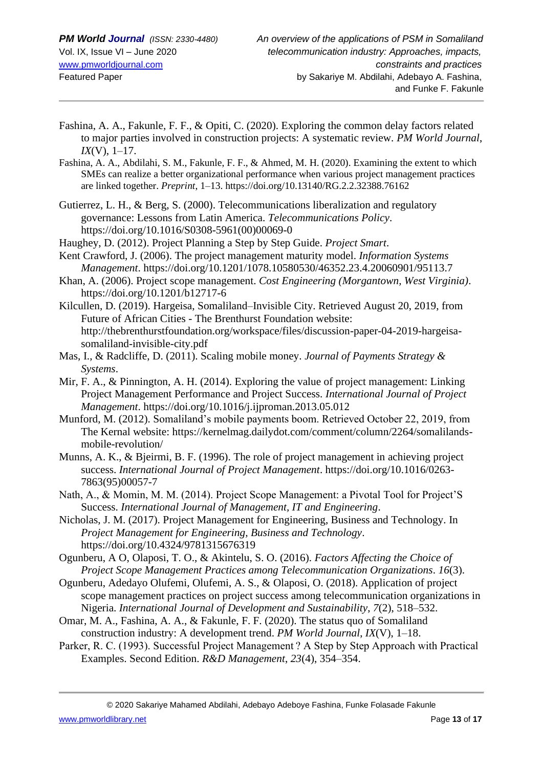- Fashina, A. A., Fakunle, F. F., & Opiti, C. (2020). Exploring the common delay factors related to major parties involved in construction projects: A systematic review. *PM World Journal*, *IX*(V), 1–17.
- Fashina, A. A., Abdilahi, S. M., Fakunle, F. F., & Ahmed, M. H. (2020). Examining the extent to which SMEs can realize a better organizational performance when various project management practices are linked together. *Preprint*, 1–13. https://doi.org/10.13140/RG.2.2.32388.76162
- Gutierrez, L. H., & Berg, S. (2000). Telecommunications liberalization and regulatory governance: Lessons from Latin America. *Telecommunications Policy*. https://doi.org/10.1016/S0308-5961(00)00069-0
- Haughey, D. (2012). Project Planning a Step by Step Guide. *Project Smart*.
- Kent Crawford, J. (2006). The project management maturity model. *Information Systems Management*. https://doi.org/10.1201/1078.10580530/46352.23.4.20060901/95113.7
- Khan, A. (2006). Project scope management. *Cost Engineering (Morgantown, West Virginia)*. https://doi.org/10.1201/b12717-6
- Kilcullen, D. (2019). Hargeisa, Somaliland–Invisible City. Retrieved August 20, 2019, from Future of African Cities - The Brenthurst Foundation website: http://thebrenthurstfoundation.org/workspace/files/discussion-paper-04-2019-hargeisasomaliland-invisible-city.pdf
- Mas, I., & Radcliffe, D. (2011). Scaling mobile money. *Journal of Payments Strategy & Systems*.
- Mir, F. A., & Pinnington, A. H. (2014). Exploring the value of project management: Linking Project Management Performance and Project Success. *International Journal of Project Management*. https://doi.org/10.1016/j.ijproman.2013.05.012
- Munford, M. (2012). Somaliland's mobile payments boom. Retrieved October 22, 2019, from The Kernal website: https://kernelmag.dailydot.com/comment/column/2264/somalilandsmobile-revolution/
- Munns, A. K., & Bjeirmi, B. F. (1996). The role of project management in achieving project success. *International Journal of Project Management*. https://doi.org/10.1016/0263- 7863(95)00057-7
- Nath, A., & Momin, M. M. (2014). Project Scope Management: a Pivotal Tool for Project'S Success. *International Journal of Management, IT and Engineering*.
- Nicholas, J. M. (2017). Project Management for Engineering, Business and Technology. In *Project Management for Engineering, Business and Technology*. https://doi.org/10.4324/9781315676319
- Ogunberu, A O, Olaposi, T. O., & Akintelu, S. O. (2016). *Factors Affecting the Choice of Project Scope Management Practices among Telecommunication Organizations*. *16*(3).
- Ogunberu, Adedayo Olufemi, Olufemi, A. S., & Olaposi, O. (2018). Application of project scope management practices on project success among telecommunication organizations in Nigeria. *International Journal of Development and Sustainability*, *7*(2), 518–532.
- Omar, M. A., Fashina, A. A., & Fakunle, F. F. (2020). The status quo of Somaliland construction industry: A development trend. *PM World Journal*, *IX*(V), 1–18.
- Parker, R. C. (1993). Successful Project Management ? A Step by Step Approach with Practical Examples. Second Edition. *R&D Management*, *23*(4), 354–354.

© 2020 Sakariye Mahamed Abdilahi, Adebayo Adeboye Fashina, Funke Folasade Fakunle

[www.pmworldlibrary.net](http://www.pmworldlibrary.net/) Page **13** of **17**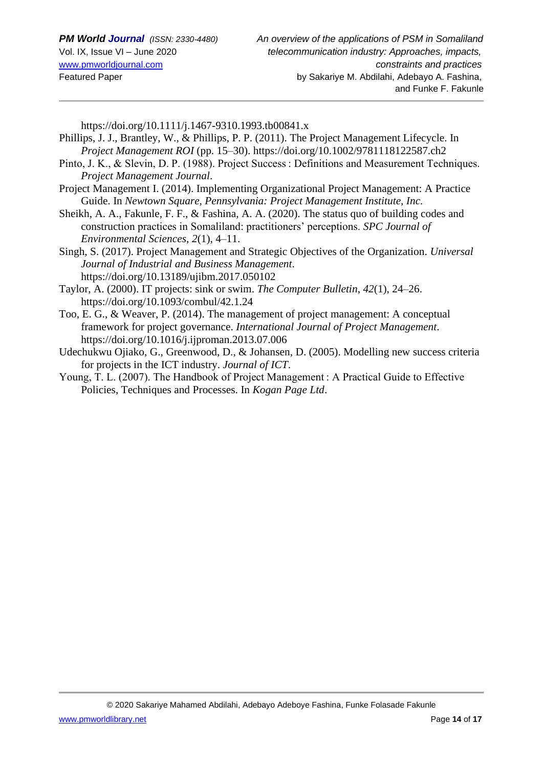https://doi.org/10.1111/j.1467-9310.1993.tb00841.x

- Phillips, J. J., Brantley, W., & Phillips, P. P. (2011). The Project Management Lifecycle. In *Project Management ROI* (pp. 15–30). https://doi.org/10.1002/9781118122587.ch2
- Pinto, J. K., & Slevin, D. P. (1988). Project Success : Definitions and Measurement Techniques. *Project Management Journal*.
- Project Management I. (2014). Implementing Organizational Project Management: A Practice Guide. In *Newtown Square, Pennsylvania: Project Management Institute, Inc.*
- Sheikh, A. A., Fakunle, F. F., & Fashina, A. A. (2020). The status quo of building codes and construction practices in Somaliland: practitioners' perceptions. *SPC Journal of Environmental Sciences*, *2*(1), 4–11.
- Singh, S. (2017). Project Management and Strategic Objectives of the Organization. *Universal Journal of Industrial and Business Management*. https://doi.org/10.13189/ujibm.2017.050102
- Taylor, A. (2000). IT projects: sink or swim. *The Computer Bulletin*, *42*(1), 24–26. https://doi.org/10.1093/combul/42.1.24
- Too, E. G., & Weaver, P. (2014). The management of project management: A conceptual framework for project governance. *International Journal of Project Management*. https://doi.org/10.1016/j.ijproman.2013.07.006
- Udechukwu Ojiako, G., Greenwood, D., & Johansen, D. (2005). Modelling new success criteria for projects in the ICT industry. *Journal of ICT*.
- Young, T. L. (2007). The Handbook of Project Management : A Practical Guide to Effective Policies, Techniques and Processes. In *Kogan Page Ltd*.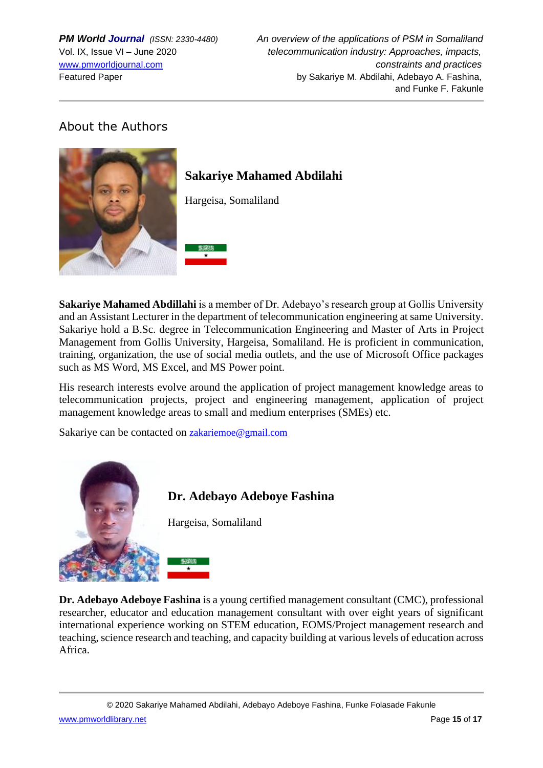## About the Authors



**Sakariye Mahamed Abdillahi** is a member of Dr. Adebayo's research group at Gollis University and an Assistant Lecturer in the department of telecommunication engineering at same University. Sakariye hold a B.Sc. degree in Telecommunication Engineering and Master of Arts in Project Management from Gollis University, Hargeisa, Somaliland. He is proficient in communication, training, organization, the use of social media outlets, and the use of Microsoft Office packages such as MS Word, MS Excel, and MS Power point.

His research interests evolve around the application of project management knowledge areas to telecommunication projects, project and engineering management, application of project management knowledge areas to small and medium enterprises (SMEs) etc.

Sakariye can be contacted on [zakariemoe@gmail.com](mailto:zakariemoe@gmail.com)



**Dr. Adebayo Adeboye Fashina** is a young certified management consultant (CMC), professional researcher, educator and education management consultant with over eight years of significant international experience working on STEM education, EOMS/Project management research and teaching, science research and teaching, and capacity building at various levels of education across Africa.

© 2020 Sakariye Mahamed Abdilahi, Adebayo Adeboye Fashina, Funke Folasade Fakunle [www.pmworldlibrary.net](http://www.pmworldlibrary.net/) Page **15** of **17**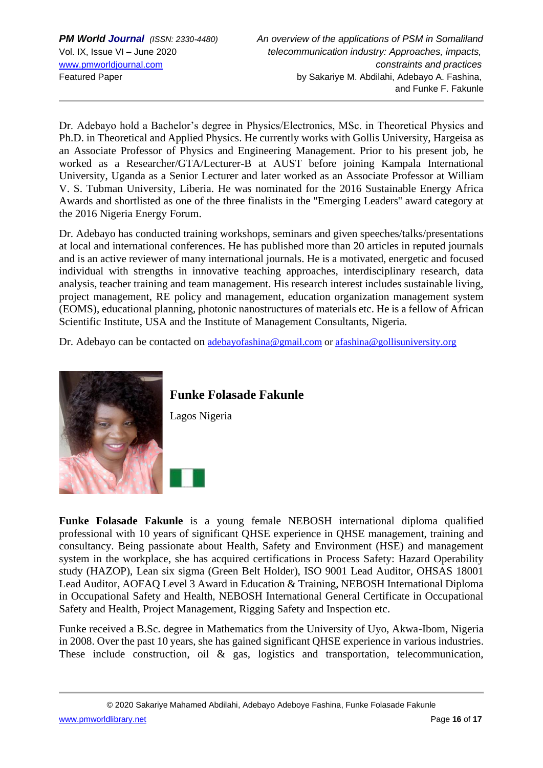Dr. Adebayo hold a Bachelor's degree in Physics/Electronics, MSc. in Theoretical Physics and Ph.D. in Theoretical and Applied Physics. He currently works with Gollis University, Hargeisa as an Associate Professor of Physics and Engineering Management. Prior to his present job, he worked as a Researcher/GTA/Lecturer-B at AUST before joining Kampala International University, Uganda as a Senior Lecturer and later worked as an Associate Professor at William V. S. Tubman University, Liberia. He was nominated for the 2016 Sustainable Energy Africa Awards and shortlisted as one of the three finalists in the ''Emerging Leaders'' award category at the 2016 Nigeria Energy Forum.

Dr. Adebayo has conducted training workshops, seminars and given speeches/talks/presentations at local and international conferences. He has published more than 20 articles in reputed journals and is an active reviewer of many international journals. He is a motivated, energetic and focused individual with strengths in innovative teaching approaches, interdisciplinary research, data analysis, teacher training and team management. His research interest includes sustainable living, project management, RE policy and management, education organization management system (EOMS), educational planning, photonic nanostructures of materials etc. He is a fellow of African Scientific Institute, USA and the Institute of Management Consultants, Nigeria.

Dr. Adebayo can be contacted on [adebayofashina@gmail.com](mailto:adebayofashina@gmail.com) o[r afashina@gollisuniversity.org](mailto:afashina@gollisuniversity.org)



**Funke Folasade Fakunle**

Lagos Nigeria

**Funke Folasade Fakunle** is a young female NEBOSH international diploma qualified professional with 10 years of significant QHSE experience in QHSE management, training and consultancy. Being passionate about Health, Safety and Environment (HSE) and management system in the workplace, she has acquired certifications in Process Safety: Hazard Operability study (HAZOP), Lean six sigma (Green Belt Holder), ISO 9001 Lead Auditor, OHSAS 18001 Lead Auditor, AOFAQ Level 3 Award in Education & Training, NEBOSH International Diploma in Occupational Safety and Health, NEBOSH International General Certificate in Occupational Safety and Health, Project Management, Rigging Safety and Inspection etc.

Funke received a B.Sc. degree in Mathematics from the University of Uyo, Akwa-Ibom, Nigeria in 2008. Over the past 10 years, she has gained significant QHSE experience in various industries. These include construction, oil & gas, logistics and transportation, telecommunication,

© 2020 Sakariye Mahamed Abdilahi, Adebayo Adeboye Fashina, Funke Folasade Fakunle